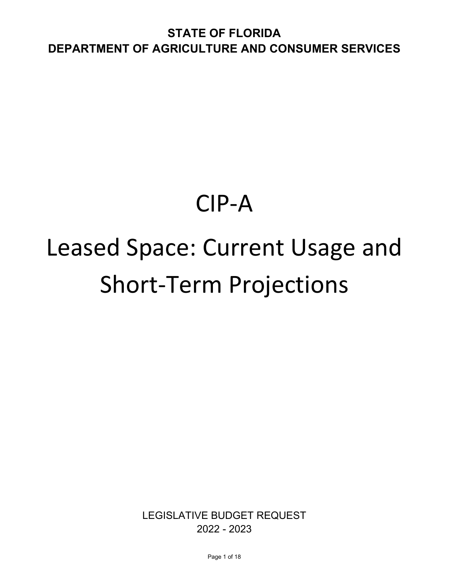# CIP-A

# Leased Space: Current Usage and Short-Term Projections

LEGISLATIVE BUDGET REQUEST 2022 - 2023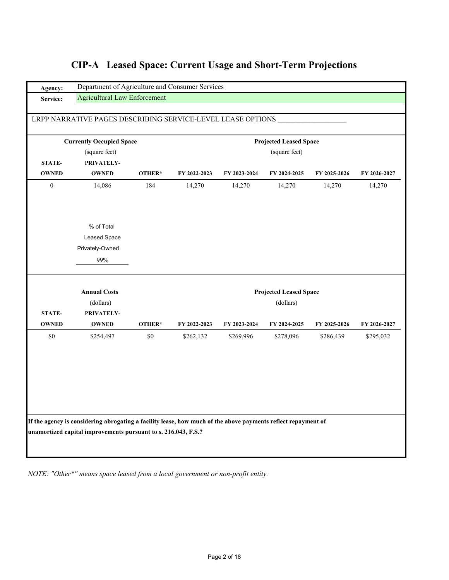| Agency:          |                                                                                                               | Department of Agriculture and Consumer Services |              |              |                               |              |              |  |  |
|------------------|---------------------------------------------------------------------------------------------------------------|-------------------------------------------------|--------------|--------------|-------------------------------|--------------|--------------|--|--|
| Service:         | <b>Agricultural Law Enforcement</b>                                                                           |                                                 |              |              |                               |              |              |  |  |
|                  |                                                                                                               |                                                 |              |              |                               |              |              |  |  |
|                  | LRPP NARRATIVE PAGES DESCRIBING SERVICE-LEVEL LEASE OPTIONS                                                   |                                                 |              |              |                               |              |              |  |  |
|                  | <b>Currently Occupied Space</b>                                                                               |                                                 |              |              | <b>Projected Leased Space</b> |              |              |  |  |
|                  | (square feet)                                                                                                 |                                                 |              |              | (square feet)                 |              |              |  |  |
| <b>STATE-</b>    | PRIVATELY-                                                                                                    |                                                 |              |              |                               |              |              |  |  |
| <b>OWNED</b>     | <b>OWNED</b>                                                                                                  | OTHER*                                          | FY 2022-2023 | FY 2023-2024 | FY 2024-2025                  | FY 2025-2026 | FY 2026-2027 |  |  |
| $\boldsymbol{0}$ | 14,086                                                                                                        | 184                                             | 14,270       | 14,270       | 14,270                        | 14,270       | 14,270       |  |  |
|                  |                                                                                                               |                                                 |              |              |                               |              |              |  |  |
|                  |                                                                                                               |                                                 |              |              |                               |              |              |  |  |
|                  | % of Total                                                                                                    |                                                 |              |              |                               |              |              |  |  |
|                  | Leased Space                                                                                                  |                                                 |              |              |                               |              |              |  |  |
|                  | Privately-Owned                                                                                               |                                                 |              |              |                               |              |              |  |  |
|                  | 99%                                                                                                           |                                                 |              |              |                               |              |              |  |  |
|                  |                                                                                                               |                                                 |              |              |                               |              |              |  |  |
|                  | <b>Annual Costs</b>                                                                                           |                                                 |              |              | <b>Projected Leased Space</b> |              |              |  |  |
|                  | (dollars)                                                                                                     |                                                 |              |              | (dollars)                     |              |              |  |  |
| <b>STATE-</b>    | PRIVATELY-                                                                                                    |                                                 |              |              |                               |              |              |  |  |
| <b>OWNED</b>     | <b>OWNED</b>                                                                                                  | OTHER*                                          | FY 2022-2023 | FY 2023-2024 | FY 2024-2025                  | FY 2025-2026 | FY 2026-2027 |  |  |
| \$0              | \$254,497                                                                                                     | \$0                                             | \$262,132    | \$269,996    | \$278,096                     | \$286,439    | \$295,032    |  |  |
|                  |                                                                                                               |                                                 |              |              |                               |              |              |  |  |
|                  |                                                                                                               |                                                 |              |              |                               |              |              |  |  |
|                  |                                                                                                               |                                                 |              |              |                               |              |              |  |  |
|                  |                                                                                                               |                                                 |              |              |                               |              |              |  |  |
|                  |                                                                                                               |                                                 |              |              |                               |              |              |  |  |
|                  |                                                                                                               |                                                 |              |              |                               |              |              |  |  |
|                  |                                                                                                               |                                                 |              |              |                               |              |              |  |  |
|                  |                                                                                                               |                                                 |              |              |                               |              |              |  |  |
|                  | If the agency is considering abrogating a facility lease, how much of the above payments reflect repayment of |                                                 |              |              |                               |              |              |  |  |
|                  | unamortized capital improvements pursuant to s. 216.043, F.S.?                                                |                                                 |              |              |                               |              |              |  |  |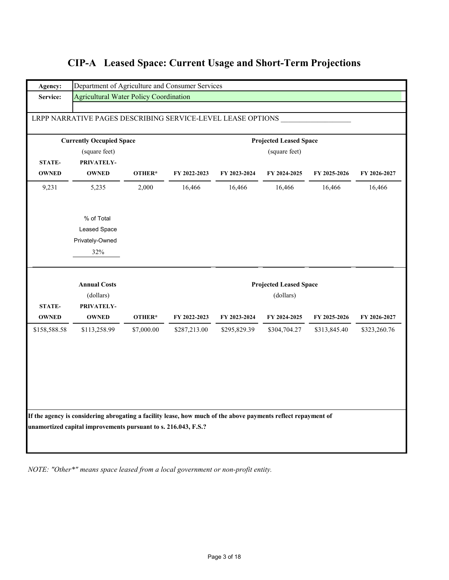| Agency:                       | Department of Agriculture and Consumer Services                                                                                                                                 |            |              |              |                               |              |              |
|-------------------------------|---------------------------------------------------------------------------------------------------------------------------------------------------------------------------------|------------|--------------|--------------|-------------------------------|--------------|--------------|
| Service:                      | <b>Agricultural Water Policy Coordination</b>                                                                                                                                   |            |              |              |                               |              |              |
|                               | LRPP NARRATIVE PAGES DESCRIBING SERVICE-LEVEL LEASE OPTIONS                                                                                                                     |            |              |              |                               |              |              |
|                               | <b>Currently Occupied Space</b>                                                                                                                                                 |            |              |              | <b>Projected Leased Space</b> |              |              |
|                               | (square feet)                                                                                                                                                                   |            |              |              | (square feet)                 |              |              |
| <b>STATE-</b>                 | PRIVATELY-                                                                                                                                                                      |            |              |              |                               |              |              |
| <b>OWNED</b>                  | <b>OWNED</b>                                                                                                                                                                    | OTHER*     | FY 2022-2023 | FY 2023-2024 | FY 2024-2025                  | FY 2025-2026 | FY 2026-2027 |
| 9,231                         | 5,235                                                                                                                                                                           | 2,000      | 16,466       | 16,466       | 16,466                        | 16,466       | 16,466       |
|                               | % of Total                                                                                                                                                                      |            |              |              |                               |              |              |
|                               | Leased Space                                                                                                                                                                    |            |              |              |                               |              |              |
|                               | Privately-Owned                                                                                                                                                                 |            |              |              |                               |              |              |
|                               | 32%                                                                                                                                                                             |            |              |              |                               |              |              |
|                               | <b>Annual Costs</b>                                                                                                                                                             |            |              |              | <b>Projected Leased Space</b> |              |              |
|                               | (dollars)                                                                                                                                                                       |            |              |              | (dollars)                     |              |              |
| <b>STATE-</b><br><b>OWNED</b> | PRIVATELY-<br><b>OWNED</b>                                                                                                                                                      | OTHER*     | FY 2022-2023 | FY 2023-2024 | FY 2024-2025                  | FY 2025-2026 | FY 2026-2027 |
| \$158,588.58                  | \$113,258.99                                                                                                                                                                    | \$7,000.00 | \$287,213.00 | \$295,829.39 | \$304,704.27                  | \$313,845.40 | \$323,260.76 |
|                               |                                                                                                                                                                                 |            |              |              |                               |              |              |
|                               |                                                                                                                                                                                 |            |              |              |                               |              |              |
|                               |                                                                                                                                                                                 |            |              |              |                               |              |              |
|                               |                                                                                                                                                                                 |            |              |              |                               |              |              |
|                               | If the agency is considering abrogating a facility lease, how much of the above payments reflect repayment of<br>unamortized capital improvements pursuant to s. 216.043, F.S.? |            |              |              |                               |              |              |
|                               |                                                                                                                                                                                 |            |              |              |                               |              |              |
|                               |                                                                                                                                                                                 |            |              |              |                               |              |              |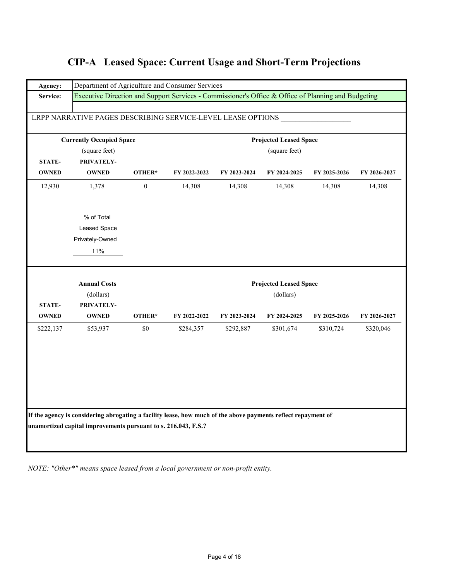| Agency:       | Department of Agriculture and Consumer Services                                                               |                  |              |              |                               |              |              |
|---------------|---------------------------------------------------------------------------------------------------------------|------------------|--------------|--------------|-------------------------------|--------------|--------------|
| Service:      | Executive Direction and Support Services - Commissioner's Office & Office of Planning and Budgeting           |                  |              |              |                               |              |              |
|               |                                                                                                               |                  |              |              |                               |              |              |
|               | LRPP NARRATIVE PAGES DESCRIBING SERVICE-LEVEL LEASE OPTIONS                                                   |                  |              |              |                               |              |              |
|               | <b>Currently Occupied Space</b>                                                                               |                  |              |              | <b>Projected Leased Space</b> |              |              |
|               | (square feet)                                                                                                 |                  |              |              |                               |              |              |
| <b>STATE-</b> | PRIVATELY-                                                                                                    |                  |              |              | (square feet)                 |              |              |
| <b>OWNED</b>  | <b>OWNED</b>                                                                                                  | OTHER*           | FY 2022-2022 | FY 2023-2024 | FY 2024-2025                  | FY 2025-2026 | FY 2026-2027 |
| 12,930        | 1,378                                                                                                         | $\boldsymbol{0}$ | 14,308       | 14,308       | 14,308                        | 14,308       | 14,308       |
|               |                                                                                                               |                  |              |              |                               |              |              |
|               |                                                                                                               |                  |              |              |                               |              |              |
|               | % of Total<br>Leased Space                                                                                    |                  |              |              |                               |              |              |
|               | Privately-Owned                                                                                               |                  |              |              |                               |              |              |
|               |                                                                                                               |                  |              |              |                               |              |              |
|               | $11\%$                                                                                                        |                  |              |              |                               |              |              |
|               | <b>Annual Costs</b>                                                                                           |                  |              |              | <b>Projected Leased Space</b> |              |              |
|               | (dollars)                                                                                                     |                  |              |              | (dollars)                     |              |              |
| <b>STATE-</b> | PRIVATELY-                                                                                                    |                  |              |              |                               |              |              |
| <b>OWNED</b>  | <b>OWNED</b>                                                                                                  | OTHER*           | FY 2022-2022 | FY 2023-2024 | FY 2024-2025                  | FY 2025-2026 | FY 2026-2027 |
| \$222,137     | \$53,937                                                                                                      | \$0              | \$284,357    | \$292,887    | \$301,674                     | \$310,724    | \$320,046    |
|               |                                                                                                               |                  |              |              |                               |              |              |
|               |                                                                                                               |                  |              |              |                               |              |              |
|               |                                                                                                               |                  |              |              |                               |              |              |
|               |                                                                                                               |                  |              |              |                               |              |              |
|               |                                                                                                               |                  |              |              |                               |              |              |
|               |                                                                                                               |                  |              |              |                               |              |              |
|               |                                                                                                               |                  |              |              |                               |              |              |
|               | If the agency is considering abrogating a facility lease, how much of the above payments reflect repayment of |                  |              |              |                               |              |              |
|               | unamortized capital improvements pursuant to s. 216.043, F.S.?                                                |                  |              |              |                               |              |              |
|               |                                                                                                               |                  |              |              |                               |              |              |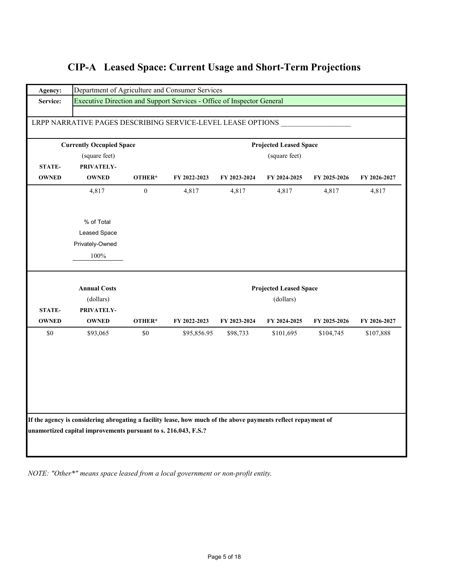|  | <b>CIP-A</b> Leased Space: Current Usage and Short-Term Projections |
|--|---------------------------------------------------------------------|
|  |                                                                     |

| Agency:       |                                                                                                               |                  | Department of Agriculture and Consumer Services                        |              |                               |              |              |
|---------------|---------------------------------------------------------------------------------------------------------------|------------------|------------------------------------------------------------------------|--------------|-------------------------------|--------------|--------------|
| Service:      |                                                                                                               |                  | Executive Direction and Support Services - Office of Inspector General |              |                               |              |              |
|               |                                                                                                               |                  |                                                                        |              |                               |              |              |
|               | LRPP NARRATIVE PAGES DESCRIBING SERVICE-LEVEL LEASE OPTIONS                                                   |                  |                                                                        |              |                               |              |              |
|               | <b>Currently Occupied Space</b>                                                                               |                  |                                                                        |              | <b>Projected Leased Space</b> |              |              |
|               | (square feet)                                                                                                 |                  |                                                                        |              | (square feet)                 |              |              |
| STATE-        | PRIVATELY-                                                                                                    |                  |                                                                        |              |                               |              |              |
| <b>OWNED</b>  | <b>OWNED</b>                                                                                                  | OTHER*           | FY 2022-2023                                                           | FY 2023-2024 | FY 2024-2025                  | FY 2025-2026 | FY 2026-2027 |
|               | 4,817                                                                                                         | $\boldsymbol{0}$ | 4,817                                                                  | 4,817        | 4,817                         | 4,817        | 4,817        |
|               |                                                                                                               |                  |                                                                        |              |                               |              |              |
|               | % of Total                                                                                                    |                  |                                                                        |              |                               |              |              |
|               |                                                                                                               |                  |                                                                        |              |                               |              |              |
|               | Leased Space                                                                                                  |                  |                                                                        |              |                               |              |              |
|               | Privately-Owned                                                                                               |                  |                                                                        |              |                               |              |              |
|               | 100%                                                                                                          |                  |                                                                        |              |                               |              |              |
|               | <b>Annual Costs</b>                                                                                           |                  |                                                                        |              | <b>Projected Leased Space</b> |              |              |
|               | (dollars)                                                                                                     |                  |                                                                        |              | (dollars)                     |              |              |
| <b>STATE-</b> | PRIVATELY-                                                                                                    |                  |                                                                        |              |                               |              |              |
| <b>OWNED</b>  | <b>OWNED</b>                                                                                                  | OTHER*           | FY 2022-2023                                                           | FY 2023-2024 | FY 2024-2025                  | FY 2025-2026 | FY 2026-2027 |
| $\$0$         | \$93,065                                                                                                      | \$0              | \$95,856.95                                                            | \$98,733     | \$101,695                     | \$104,745    | \$107,888    |
|               |                                                                                                               |                  |                                                                        |              |                               |              |              |
|               |                                                                                                               |                  |                                                                        |              |                               |              |              |
|               |                                                                                                               |                  |                                                                        |              |                               |              |              |
|               |                                                                                                               |                  |                                                                        |              |                               |              |              |
|               |                                                                                                               |                  |                                                                        |              |                               |              |              |
|               |                                                                                                               |                  |                                                                        |              |                               |              |              |
|               |                                                                                                               |                  |                                                                        |              |                               |              |              |
|               | If the agency is considering abrogating a facility lease, how much of the above payments reflect repayment of |                  |                                                                        |              |                               |              |              |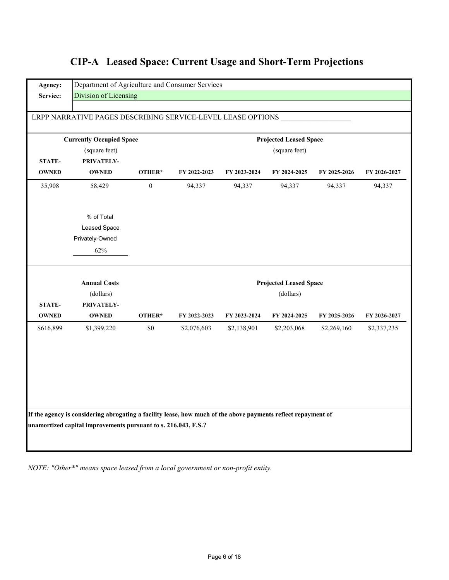| Agency:       | Department of Agriculture and Consumer Services                                                               |                  |              |              |                               |              |              |
|---------------|---------------------------------------------------------------------------------------------------------------|------------------|--------------|--------------|-------------------------------|--------------|--------------|
| Service:      | Division of Licensing                                                                                         |                  |              |              |                               |              |              |
|               |                                                                                                               |                  |              |              |                               |              |              |
|               | LRPP NARRATIVE PAGES DESCRIBING SERVICE-LEVEL LEASE OPTIONS                                                   |                  |              |              |                               |              |              |
|               | <b>Currently Occupied Space</b>                                                                               |                  |              |              | <b>Projected Leased Space</b> |              |              |
|               | (square feet)                                                                                                 |                  |              |              | (square feet)                 |              |              |
| <b>STATE-</b> | PRIVATELY-                                                                                                    |                  |              |              |                               |              |              |
| <b>OWNED</b>  | <b>OWNED</b>                                                                                                  | OTHER*           | FY 2022-2023 | FY 2023-2024 | FY 2024-2025                  | FY 2025-2026 | FY 2026-2027 |
| 35,908        | 58,429                                                                                                        | $\boldsymbol{0}$ | 94,337       | 94,337       | 94,337                        | 94,337       | 94,337       |
|               | % of Total                                                                                                    |                  |              |              |                               |              |              |
|               | Leased Space                                                                                                  |                  |              |              |                               |              |              |
|               | Privately-Owned                                                                                               |                  |              |              |                               |              |              |
|               | 62%                                                                                                           |                  |              |              |                               |              |              |
|               |                                                                                                               |                  |              |              |                               |              |              |
|               | <b>Annual Costs</b>                                                                                           |                  |              |              | <b>Projected Leased Space</b> |              |              |
| STATE-        | (dollars)<br>PRIVATELY-                                                                                       |                  |              |              | (dollars)                     |              |              |
| <b>OWNED</b>  | <b>OWNED</b>                                                                                                  | OTHER*           | FY 2022-2023 | FY 2023-2024 | FY 2024-2025                  | FY 2025-2026 | FY 2026-2027 |
| \$616,899     | \$1,399,220                                                                                                   | $\$0$            | \$2,076,603  | \$2,138,901  | \$2,203,068                   | \$2,269,160  | \$2,337,235  |
|               |                                                                                                               |                  |              |              |                               |              |              |
|               |                                                                                                               |                  |              |              |                               |              |              |
|               |                                                                                                               |                  |              |              |                               |              |              |
|               |                                                                                                               |                  |              |              |                               |              |              |
|               | If the agency is considering abrogating a facility lease, how much of the above payments reflect repayment of |                  |              |              |                               |              |              |
|               | unamortized capital improvements pursuant to s. 216.043, F.S.?                                                |                  |              |              |                               |              |              |
|               |                                                                                                               |                  |              |              |                               |              |              |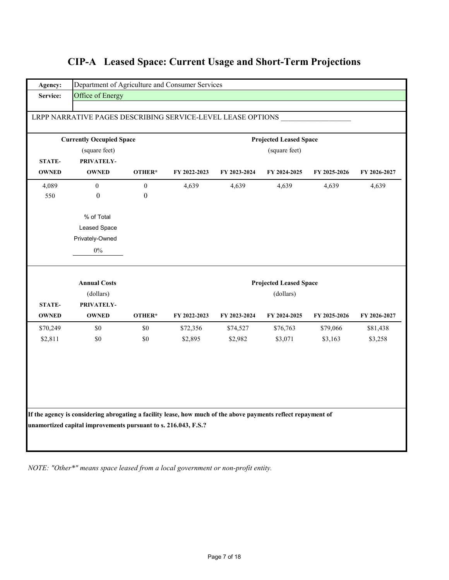|               | LRPP NARRATIVE PAGES DESCRIBING SERVICE-LEVEL LEASE OPTIONS |                  |              |              |                                            |              |              |
|---------------|-------------------------------------------------------------|------------------|--------------|--------------|--------------------------------------------|--------------|--------------|
|               | <b>Currently Occupied Space</b>                             |                  |              |              | <b>Projected Leased Space</b>              |              |              |
|               | (square feet)                                               |                  |              |              | (square feet)                              |              |              |
| STATE-        | PRIVATELY-                                                  |                  |              |              |                                            |              |              |
| <b>OWNED</b>  | <b>OWNED</b>                                                | OTHER*           | FY 2022-2023 | FY 2023-2024 | FY 2024-2025                               | FY 2025-2026 | FY 2026-2027 |
| 4,089         | $\mathbf{0}$                                                | $\mathbf{0}$     | 4,639        | 4,639        | 4,639                                      | 4,639        | 4,639        |
| 550           | $\boldsymbol{0}$                                            | $\boldsymbol{0}$ |              |              |                                            |              |              |
|               | % of Total                                                  |                  |              |              |                                            |              |              |
|               | Leased Space                                                |                  |              |              |                                            |              |              |
|               | Privately-Owned                                             |                  |              |              |                                            |              |              |
|               |                                                             |                  |              |              |                                            |              |              |
|               | $0\%$                                                       |                  |              |              |                                            |              |              |
|               | <b>Annual Costs</b><br>(dollars)                            |                  |              |              | <b>Projected Leased Space</b><br>(dollars) |              |              |
| <b>STATE-</b> | PRIVATELY-                                                  |                  |              |              |                                            |              |              |
| <b>OWNED</b>  | <b>OWNED</b>                                                | OTHER*           | FY 2022-2023 | FY 2023-2024 | FY 2024-2025                               | FY 2025-2026 | FY 2026-2027 |
| \$70,249      | \$0                                                         | \$0              | \$72,356     | \$74,527     | \$76,763                                   | \$79,066     | \$81,438     |
| \$2,811       | \$0                                                         | \$0              | \$2,895      | \$2,982      | \$3,071                                    | \$3,163      | \$3,258      |
|               |                                                             |                  |              |              |                                            |              |              |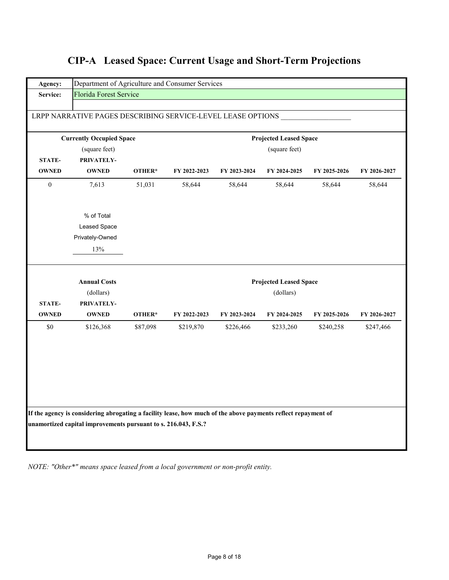| Agency:                       | Department of Agriculture and Consumer Services                                                                                                                                 |          |               |              |                               |              |              |  |  |
|-------------------------------|---------------------------------------------------------------------------------------------------------------------------------------------------------------------------------|----------|---------------|--------------|-------------------------------|--------------|--------------|--|--|
| Service:                      | Florida Forest Service                                                                                                                                                          |          |               |              |                               |              |              |  |  |
|                               | LRPP NARRATIVE PAGES DESCRIBING SERVICE-LEVEL LEASE OPTIONS                                                                                                                     |          |               |              |                               |              |              |  |  |
|                               |                                                                                                                                                                                 |          |               |              |                               |              |              |  |  |
|                               | <b>Currently Occupied Space</b>                                                                                                                                                 |          |               |              | <b>Projected Leased Space</b> |              |              |  |  |
|                               | (square feet)                                                                                                                                                                   |          | (square feet) |              |                               |              |              |  |  |
| <b>STATE-</b><br><b>OWNED</b> | PRIVATELY-<br><b>OWNED</b>                                                                                                                                                      | OTHER*   | FY 2022-2023  | FY 2023-2024 | FY 2024-2025                  | FY 2025-2026 | FY 2026-2027 |  |  |
|                               |                                                                                                                                                                                 |          |               |              |                               |              |              |  |  |
| $\boldsymbol{0}$              | 7,613                                                                                                                                                                           | 51,031   | 58,644        | 58,644       | 58,644                        | 58,644       | 58,644       |  |  |
|                               | % of Total                                                                                                                                                                      |          |               |              |                               |              |              |  |  |
|                               | Leased Space                                                                                                                                                                    |          |               |              |                               |              |              |  |  |
|                               | Privately-Owned                                                                                                                                                                 |          |               |              |                               |              |              |  |  |
|                               | 13%                                                                                                                                                                             |          |               |              |                               |              |              |  |  |
|                               | <b>Annual Costs</b>                                                                                                                                                             |          |               |              | <b>Projected Leased Space</b> |              |              |  |  |
|                               | (dollars)                                                                                                                                                                       |          |               |              | (dollars)                     |              |              |  |  |
| <b>STATE-</b>                 | PRIVATELY-                                                                                                                                                                      |          |               |              |                               |              |              |  |  |
| <b>OWNED</b>                  | <b>OWNED</b>                                                                                                                                                                    | OTHER*   | FY 2022-2023  | FY 2023-2024 | FY 2024-2025                  | FY 2025-2026 | FY 2026-2027 |  |  |
| \$0                           | \$126,368                                                                                                                                                                       | \$87,098 | \$219,870     | \$226,466    | \$233,260                     | \$240,258    | \$247,466    |  |  |
|                               |                                                                                                                                                                                 |          |               |              |                               |              |              |  |  |
|                               |                                                                                                                                                                                 |          |               |              |                               |              |              |  |  |
|                               |                                                                                                                                                                                 |          |               |              |                               |              |              |  |  |
|                               |                                                                                                                                                                                 |          |               |              |                               |              |              |  |  |
|                               |                                                                                                                                                                                 |          |               |              |                               |              |              |  |  |
|                               |                                                                                                                                                                                 |          |               |              |                               |              |              |  |  |
|                               |                                                                                                                                                                                 |          |               |              |                               |              |              |  |  |
|                               | If the agency is considering abrogating a facility lease, how much of the above payments reflect repayment of<br>unamortized capital improvements pursuant to s. 216.043, F.S.? |          |               |              |                               |              |              |  |  |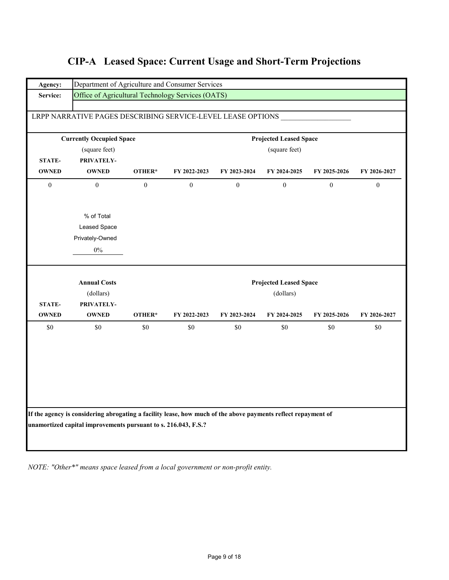| Agency:        |                                                                                                               | Department of Agriculture and Consumer Services |              |                |                               |                |              |  |  |
|----------------|---------------------------------------------------------------------------------------------------------------|-------------------------------------------------|--------------|----------------|-------------------------------|----------------|--------------|--|--|
| Service:       | Office of Agricultural Technology Services (OATS)                                                             |                                                 |              |                |                               |                |              |  |  |
|                |                                                                                                               |                                                 |              |                |                               |                |              |  |  |
|                | LRPP NARRATIVE PAGES DESCRIBING SERVICE-LEVEL LEASE OPTIONS                                                   |                                                 |              |                |                               |                |              |  |  |
|                | <b>Currently Occupied Space</b>                                                                               |                                                 |              |                | <b>Projected Leased Space</b> |                |              |  |  |
|                | (square feet)                                                                                                 |                                                 |              |                | (square feet)                 |                |              |  |  |
| <b>STATE-</b>  | PRIVATELY-                                                                                                    |                                                 |              |                |                               |                |              |  |  |
| <b>OWNED</b>   | <b>OWNED</b>                                                                                                  | OTHER*                                          | FY 2022-2023 | FY 2023-2024   | FY 2024-2025                  | FY 2025-2026   | FY 2026-2027 |  |  |
| $\overline{0}$ | $\overline{0}$                                                                                                | $\mathbf{0}$                                    | $\mathbf{0}$ | $\overline{0}$ | $\mathbf{0}$                  | $\overline{0}$ | $\mathbf{0}$ |  |  |
|                | % of Total                                                                                                    |                                                 |              |                |                               |                |              |  |  |
|                | Leased Space                                                                                                  |                                                 |              |                |                               |                |              |  |  |
|                | Privately-Owned                                                                                               |                                                 |              |                |                               |                |              |  |  |
|                | $0\%$                                                                                                         |                                                 |              |                |                               |                |              |  |  |
|                | <b>Annual Costs</b>                                                                                           |                                                 |              |                | <b>Projected Leased Space</b> |                |              |  |  |
|                | (dollars)                                                                                                     |                                                 |              |                | (dollars)                     |                |              |  |  |
| <b>STATE-</b>  | PRIVATELY-                                                                                                    |                                                 |              |                |                               |                |              |  |  |
| <b>OWNED</b>   | <b>OWNED</b>                                                                                                  | OTHER*                                          | FY 2022-2023 | FY 2023-2024   | FY 2024-2025                  | FY 2025-2026   | FY 2026-2027 |  |  |
| \$0            | \$0                                                                                                           | \$0                                             | \$0          | \$0            | \$0                           | \$0            | \$0          |  |  |
|                |                                                                                                               |                                                 |              |                |                               |                |              |  |  |
|                |                                                                                                               |                                                 |              |                |                               |                |              |  |  |
|                |                                                                                                               |                                                 |              |                |                               |                |              |  |  |
|                | If the agency is considering abrogating a facility lease, how much of the above payments reflect repayment of |                                                 |              |                |                               |                |              |  |  |
|                | unamortized capital improvements pursuant to s. 216.043, F.S.?                                                |                                                 |              |                |                               |                |              |  |  |
|                |                                                                                                               |                                                 |              |                |                               |                |              |  |  |
|                |                                                                                                               |                                                 |              |                |                               |                |              |  |  |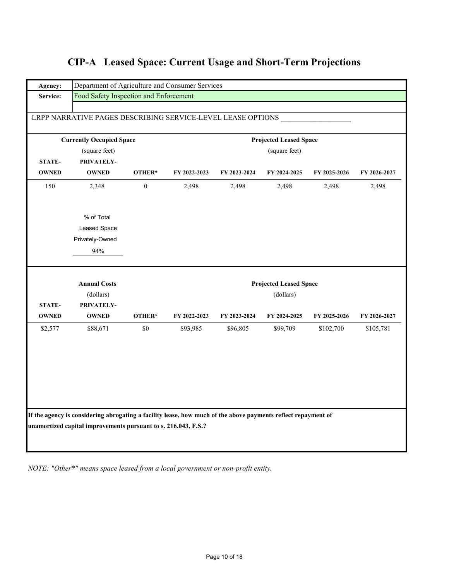|  |  |  | <b>CIP-A</b> Leased Space: Current Usage and Short-Term Projections |
|--|--|--|---------------------------------------------------------------------|
|--|--|--|---------------------------------------------------------------------|

| Agency:       | Department of Agriculture and Consumer Services                                                                                                                                 |                |              |              |                                            |              |              |
|---------------|---------------------------------------------------------------------------------------------------------------------------------------------------------------------------------|----------------|--------------|--------------|--------------------------------------------|--------------|--------------|
| Service:      | Food Safety Inspection and Enforcement                                                                                                                                          |                |              |              |                                            |              |              |
|               | LRPP NARRATIVE PAGES DESCRIBING SERVICE-LEVEL LEASE OPTIONS                                                                                                                     |                |              |              |                                            |              |              |
|               |                                                                                                                                                                                 |                |              |              |                                            |              |              |
|               | <b>Currently Occupied Space</b>                                                                                                                                                 |                |              |              | <b>Projected Leased Space</b>              |              |              |
|               | (square feet)                                                                                                                                                                   |                |              |              | (square feet)                              |              |              |
| <b>STATE-</b> | PRIVATELY-                                                                                                                                                                      |                |              |              |                                            |              |              |
| <b>OWNED</b>  | <b>OWNED</b>                                                                                                                                                                    | OTHER*         | FY 2022-2023 | FY 2023-2024 | FY 2024-2025                               | FY 2025-2026 | FY 2026-2027 |
| 150           | 2,348                                                                                                                                                                           | $\overline{0}$ | 2,498        | 2,498        | 2,498                                      | 2,498        | 2,498        |
|               | % of Total                                                                                                                                                                      |                |              |              |                                            |              |              |
|               | Leased Space                                                                                                                                                                    |                |              |              |                                            |              |              |
|               | Privately-Owned                                                                                                                                                                 |                |              |              |                                            |              |              |
|               | 94%                                                                                                                                                                             |                |              |              |                                            |              |              |
|               | <b>Annual Costs</b><br>(dollars)                                                                                                                                                |                |              |              | <b>Projected Leased Space</b><br>(dollars) |              |              |
| <b>STATE-</b> | PRIVATELY-                                                                                                                                                                      |                |              |              |                                            |              |              |
| <b>OWNED</b>  | <b>OWNED</b>                                                                                                                                                                    | OTHER*         | FY 2022-2023 | FY 2023-2024 | FY 2024-2025                               | FY 2025-2026 | FY 2026-2027 |
| \$2,577       | \$88,671                                                                                                                                                                        | \$0            | \$93,985     | \$96,805     | \$99,709                                   | \$102,700    | \$105,781    |
|               |                                                                                                                                                                                 |                |              |              |                                            |              |              |
|               |                                                                                                                                                                                 |                |              |              |                                            |              |              |
|               | If the agency is considering abrogating a facility lease, how much of the above payments reflect repayment of<br>unamortized capital improvements pursuant to s. 216.043, F.S.? |                |              |              |                                            |              |              |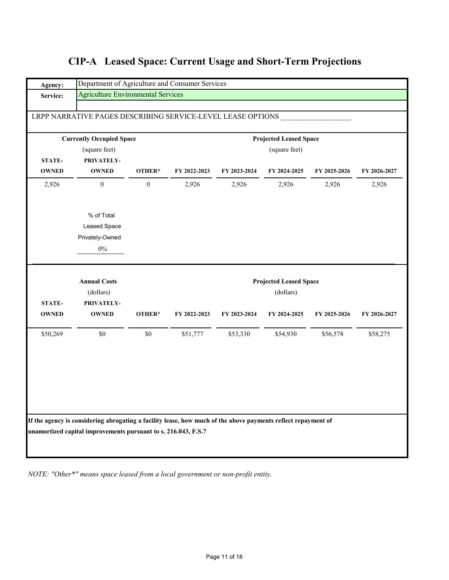| Agency:                       | Department of Agriculture and Consumer Services             |                  |              |              |                               |              |              |  |  |  |
|-------------------------------|-------------------------------------------------------------|------------------|--------------|--------------|-------------------------------|--------------|--------------|--|--|--|
| Service:                      | <b>Agriculture Environmental Services</b>                   |                  |              |              |                               |              |              |  |  |  |
|                               | LRPP NARRATIVE PAGES DESCRIBING SERVICE-LEVEL LEASE OPTIONS |                  |              |              |                               |              |              |  |  |  |
|                               |                                                             |                  |              |              |                               |              |              |  |  |  |
|                               | <b>Currently Occupied Space</b>                             |                  |              |              | <b>Projected Leased Space</b> |              |              |  |  |  |
|                               | (square feet)                                               |                  |              |              | (square feet)                 |              |              |  |  |  |
| <b>STATE-</b><br><b>OWNED</b> | PRIVATELY-<br><b>OWNED</b>                                  | OTHER*           | FY 2022-2023 | FY 2023-2024 | FY 2024-2025                  | FY 2025-2026 | FY 2026-2027 |  |  |  |
| 2,926                         | $\boldsymbol{0}$                                            | $\boldsymbol{0}$ | 2,926        | 2,926        | 2,926                         | 2,926        | 2,926        |  |  |  |
|                               | % of Total                                                  |                  |              |              |                               |              |              |  |  |  |
|                               | <b>Leased Space</b>                                         |                  |              |              |                               |              |              |  |  |  |
|                               | Privately-Owned                                             |                  |              |              |                               |              |              |  |  |  |
|                               | $0\%$                                                       |                  |              |              |                               |              |              |  |  |  |
|                               | <b>Annual Costs</b>                                         |                  |              |              | <b>Projected Leased Space</b> |              |              |  |  |  |
|                               | (dollars)                                                   |                  |              |              | (dollars)                     |              |              |  |  |  |
| STATE-<br><b>OWNED</b>        | PRIVATELY-<br><b>OWNED</b>                                  | OTHER*           | FY 2022-2023 | FY 2023-2024 | FY 2024-2025                  | FY 2025-2026 | FY 2026-2027 |  |  |  |
| \$50,269                      | \$0                                                         | \$0              | \$51,777     | \$53,330     | \$54,930                      | \$56,578     | \$58,275     |  |  |  |
|                               |                                                             |                  |              |              |                               |              |              |  |  |  |
|                               |                                                             |                  |              |              |                               |              |              |  |  |  |
|                               |                                                             |                  |              |              |                               |              |              |  |  |  |
|                               |                                                             |                  |              |              |                               |              |              |  |  |  |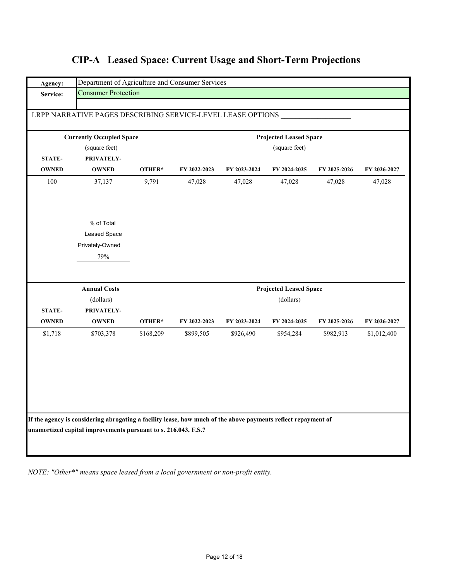| Agency:       | Department of Agriculture and Consumer Services                                                               |           |              |              |                               |              |              |  |  |  |  |
|---------------|---------------------------------------------------------------------------------------------------------------|-----------|--------------|--------------|-------------------------------|--------------|--------------|--|--|--|--|
| Service:      | <b>Consumer Protection</b>                                                                                    |           |              |              |                               |              |              |  |  |  |  |
|               |                                                                                                               |           |              |              |                               |              |              |  |  |  |  |
|               | LRPP NARRATIVE PAGES DESCRIBING SERVICE-LEVEL LEASE OPTIONS                                                   |           |              |              |                               |              |              |  |  |  |  |
|               | <b>Currently Occupied Space</b>                                                                               |           |              |              | <b>Projected Leased Space</b> |              |              |  |  |  |  |
|               | (square feet)                                                                                                 |           |              |              | (square feet)                 |              |              |  |  |  |  |
| <b>STATE-</b> | PRIVATELY-                                                                                                    |           |              |              |                               |              |              |  |  |  |  |
| <b>OWNED</b>  | <b>OWNED</b>                                                                                                  | OTHER*    | FY 2022-2023 | FY 2023-2024 | FY 2024-2025                  | FY 2025-2026 | FY 2026-2027 |  |  |  |  |
| 100           | 37,137                                                                                                        | 9,791     | 47,028       | 47,028       | 47,028                        | 47,028       | 47,028       |  |  |  |  |
|               |                                                                                                               |           |              |              |                               |              |              |  |  |  |  |
|               | % of Total                                                                                                    |           |              |              |                               |              |              |  |  |  |  |
|               | Leased Space                                                                                                  |           |              |              |                               |              |              |  |  |  |  |
|               | Privately-Owned                                                                                               |           |              |              |                               |              |              |  |  |  |  |
|               | 79%                                                                                                           |           |              |              |                               |              |              |  |  |  |  |
|               |                                                                                                               |           |              |              |                               |              |              |  |  |  |  |
|               | <b>Annual Costs</b>                                                                                           |           |              |              | <b>Projected Leased Space</b> |              |              |  |  |  |  |
|               | (dollars)                                                                                                     |           |              |              | (dollars)                     |              |              |  |  |  |  |
| STATE-        | PRIVATELY-                                                                                                    |           |              |              |                               |              |              |  |  |  |  |
| <b>OWNED</b>  | <b>OWNED</b>                                                                                                  | OTHER*    | FY 2022-2023 | FY 2023-2024 | FY 2024-2025                  | FY 2025-2026 | FY 2026-2027 |  |  |  |  |
| \$1,718       | \$703,378                                                                                                     | \$168,209 | \$899,505    | \$926,490    | \$954,284                     | \$982,913    | \$1,012,400  |  |  |  |  |
|               |                                                                                                               |           |              |              |                               |              |              |  |  |  |  |
|               |                                                                                                               |           |              |              |                               |              |              |  |  |  |  |
|               |                                                                                                               |           |              |              |                               |              |              |  |  |  |  |
|               |                                                                                                               |           |              |              |                               |              |              |  |  |  |  |
|               |                                                                                                               |           |              |              |                               |              |              |  |  |  |  |
|               |                                                                                                               |           |              |              |                               |              |              |  |  |  |  |
|               | If the agency is considering abrogating a facility lease, how much of the above payments reflect repayment of |           |              |              |                               |              |              |  |  |  |  |
|               | unamortized capital improvements pursuant to s. 216.043, F.S.?                                                |           |              |              |                               |              |              |  |  |  |  |
|               |                                                                                                               |           |              |              |                               |              |              |  |  |  |  |
|               |                                                                                                               |           |              |              |                               |              |              |  |  |  |  |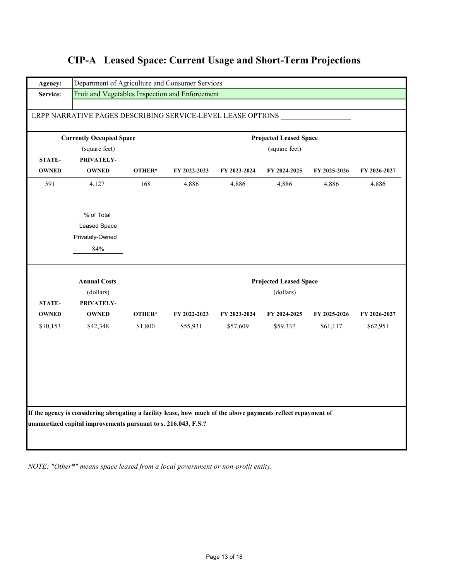|               | LRPP NARRATIVE PAGES DESCRIBING SERVICE-LEVEL LEASE OPTIONS<br><b>Currently Occupied Space</b> |         |              |              | <b>Projected Leased Space</b> |              |                          |
|---------------|------------------------------------------------------------------------------------------------|---------|--------------|--------------|-------------------------------|--------------|--------------------------|
|               | (square feet)<br>(square feet)                                                                 |         |              |              |                               |              |                          |
| <b>STATE-</b> | PRIVATELY-                                                                                     |         |              |              |                               |              |                          |
| <b>OWNED</b>  | <b>OWNED</b>                                                                                   | OTHER*  | FY 2022-2023 | FY 2023-2024 | FY 2024-2025                  | FY 2025-2026 | FY 2026-2027             |
| 591           | 4,127                                                                                          | 168     | 4,886        | 4,886        | 4,886                         | 4,886        | 4,886                    |
|               | % of Total                                                                                     |         |              |              |                               |              |                          |
|               | Leased Space                                                                                   |         |              |              |                               |              |                          |
|               | Privately-Owned                                                                                |         |              |              |                               |              |                          |
|               | $84\%$                                                                                         |         |              |              |                               |              |                          |
|               |                                                                                                |         |              |              |                               |              |                          |
|               | <b>Annual Costs</b>                                                                            |         |              |              | <b>Projected Leased Space</b> |              |                          |
|               | (dollars)                                                                                      |         |              |              | (dollars)                     |              |                          |
| <b>STATE-</b> | PRIVATELY-                                                                                     |         |              |              |                               |              |                          |
| <b>OWNED</b>  | <b>OWNED</b>                                                                                   | OTHER*  | FY 2022-2023 | FY 2023-2024 | FY 2024-2025                  | FY 2025-2026 |                          |
| \$10,153      | \$42,348                                                                                       | \$1,800 | \$55,931     | \$57,609     | \$59,337                      | \$61,117     | FY 2026-2027<br>\$62,951 |
|               |                                                                                                |         |              |              |                               |              |                          |
|               |                                                                                                |         |              |              |                               |              |                          |
|               |                                                                                                |         |              |              |                               |              |                          |
|               |                                                                                                |         |              |              |                               |              |                          |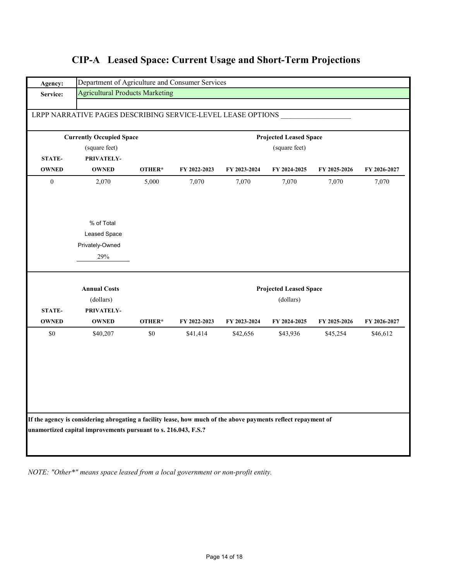| Agency:          | Department of Agriculture and Consumer Services                                                               |        |              |              |                               |              |              |  |  |  |
|------------------|---------------------------------------------------------------------------------------------------------------|--------|--------------|--------------|-------------------------------|--------------|--------------|--|--|--|
| Service:         | <b>Agricultural Products Marketing</b>                                                                        |        |              |              |                               |              |              |  |  |  |
|                  |                                                                                                               |        |              |              |                               |              |              |  |  |  |
|                  | LRPP NARRATIVE PAGES DESCRIBING SERVICE-LEVEL LEASE OPTIONS                                                   |        |              |              |                               |              |              |  |  |  |
|                  | <b>Currently Occupied Space</b>                                                                               |        |              |              | <b>Projected Leased Space</b> |              |              |  |  |  |
|                  | (square feet)                                                                                                 |        |              |              | (square feet)                 |              |              |  |  |  |
| <b>STATE-</b>    | PRIVATELY-                                                                                                    |        |              |              |                               |              |              |  |  |  |
| <b>OWNED</b>     | <b>OWNED</b>                                                                                                  | OTHER* | FY 2022-2023 | FY 2023-2024 | FY 2024-2025                  | FY 2025-2026 | FY 2026-2027 |  |  |  |
| $\boldsymbol{0}$ | 2,070                                                                                                         | 5,000  | 7,070        | 7,070        | 7,070                         | 7,070        | 7,070        |  |  |  |
|                  |                                                                                                               |        |              |              |                               |              |              |  |  |  |
|                  |                                                                                                               |        |              |              |                               |              |              |  |  |  |
|                  | % of Total                                                                                                    |        |              |              |                               |              |              |  |  |  |
|                  | Leased Space                                                                                                  |        |              |              |                               |              |              |  |  |  |
|                  | Privately-Owned                                                                                               |        |              |              |                               |              |              |  |  |  |
|                  | 29%                                                                                                           |        |              |              |                               |              |              |  |  |  |
|                  | <b>Annual Costs</b>                                                                                           |        |              |              | <b>Projected Leased Space</b> |              |              |  |  |  |
|                  | (dollars)                                                                                                     |        |              |              | (dollars)                     |              |              |  |  |  |
| <b>STATE-</b>    | PRIVATELY-                                                                                                    |        |              |              |                               |              |              |  |  |  |
| <b>OWNED</b>     | <b>OWNED</b>                                                                                                  | OTHER* | FY 2022-2023 | FY 2023-2024 | FY 2024-2025                  | FY 2025-2026 | FY 2026-2027 |  |  |  |
| $\$0$            | \$40,207                                                                                                      | \$0    | \$41,414     | \$42,656     | \$43,936                      | \$45,254     | \$46,612     |  |  |  |
|                  |                                                                                                               |        |              |              |                               |              |              |  |  |  |
|                  |                                                                                                               |        |              |              |                               |              |              |  |  |  |
|                  |                                                                                                               |        |              |              |                               |              |              |  |  |  |
|                  |                                                                                                               |        |              |              |                               |              |              |  |  |  |
|                  |                                                                                                               |        |              |              |                               |              |              |  |  |  |
|                  |                                                                                                               |        |              |              |                               |              |              |  |  |  |
|                  | If the agency is considering abrogating a facility lease, how much of the above payments reflect repayment of |        |              |              |                               |              |              |  |  |  |
|                  | unamortized capital improvements pursuant to s. 216.043, F.S.?                                                |        |              |              |                               |              |              |  |  |  |
|                  |                                                                                                               |        |              |              |                               |              |              |  |  |  |
|                  |                                                                                                               |        |              |              |                               |              |              |  |  |  |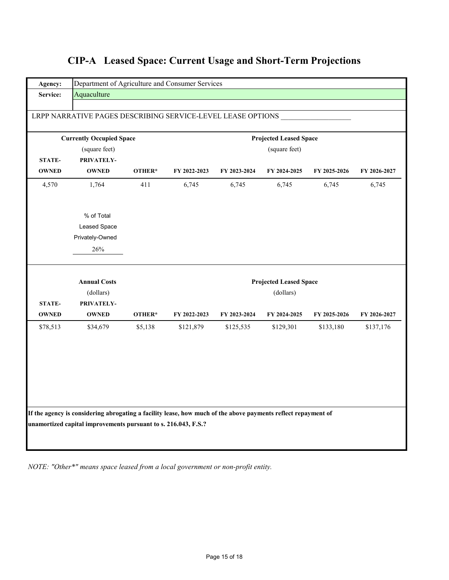| Agency:       | Department of Agriculture and Consumer Services                                                               |               |              |              |                               |              |              |  |  |
|---------------|---------------------------------------------------------------------------------------------------------------|---------------|--------------|--------------|-------------------------------|--------------|--------------|--|--|
| Service:      | Aquaculture                                                                                                   |               |              |              |                               |              |              |  |  |
|               | LRPP NARRATIVE PAGES DESCRIBING SERVICE-LEVEL LEASE OPTIONS                                                   |               |              |              |                               |              |              |  |  |
|               |                                                                                                               |               |              |              |                               |              |              |  |  |
|               | <b>Currently Occupied Space</b>                                                                               |               |              |              | <b>Projected Leased Space</b> |              |              |  |  |
|               | (square feet)                                                                                                 | (square feet) |              |              |                               |              |              |  |  |
| STATE-        | PRIVATELY-                                                                                                    |               |              |              |                               |              |              |  |  |
| <b>OWNED</b>  | <b>OWNED</b>                                                                                                  | OTHER*        | FY 2022-2023 | FY 2023-2024 | FY 2024-2025                  | FY 2025-2026 | FY 2026-2027 |  |  |
| 4,570         | 1,764                                                                                                         | 411           | 6,745        | 6,745        | 6,745                         | 6,745        | 6,745        |  |  |
|               |                                                                                                               |               |              |              |                               |              |              |  |  |
|               | % of Total                                                                                                    |               |              |              |                               |              |              |  |  |
|               | Leased Space                                                                                                  |               |              |              |                               |              |              |  |  |
|               | Privately-Owned                                                                                               |               |              |              |                               |              |              |  |  |
|               | 26%                                                                                                           |               |              |              |                               |              |              |  |  |
|               | <b>Annual Costs</b>                                                                                           |               |              |              | <b>Projected Leased Space</b> |              |              |  |  |
|               | (dollars)                                                                                                     |               |              |              | (dollars)                     |              |              |  |  |
| <b>STATE-</b> | PRIVATELY-                                                                                                    |               |              |              |                               |              |              |  |  |
| <b>OWNED</b>  | <b>OWNED</b>                                                                                                  | OTHER*        | FY 2022-2023 | FY 2023-2024 | FY 2024-2025                  | FY 2025-2026 | FY 2026-2027 |  |  |
| \$78,513      | \$34,679                                                                                                      | \$5,138       | \$121,879    | \$125,535    | \$129,301                     | \$133,180    | \$137,176    |  |  |
|               |                                                                                                               |               |              |              |                               |              |              |  |  |
|               |                                                                                                               |               |              |              |                               |              |              |  |  |
|               |                                                                                                               |               |              |              |                               |              |              |  |  |
|               |                                                                                                               |               |              |              |                               |              |              |  |  |
|               |                                                                                                               |               |              |              |                               |              |              |  |  |
|               |                                                                                                               |               |              |              |                               |              |              |  |  |
|               | If the agency is considering abrogating a facility lease, how much of the above payments reflect repayment of |               |              |              |                               |              |              |  |  |
|               |                                                                                                               |               |              |              |                               |              |              |  |  |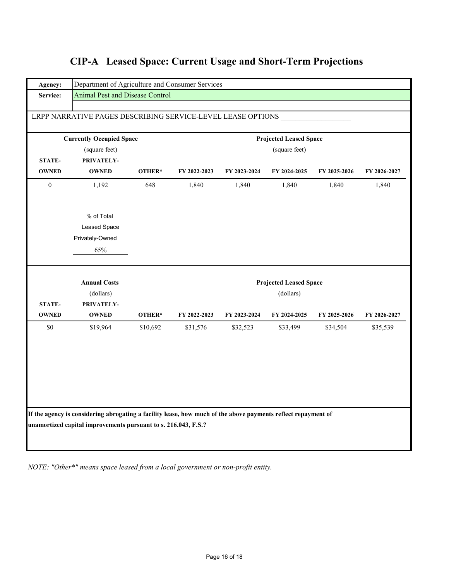|  | <b>CIP-A</b> Leased Space: Current Usage and Short-Term Projections |  |  |  |  |
|--|---------------------------------------------------------------------|--|--|--|--|
|--|---------------------------------------------------------------------|--|--|--|--|

| Agency:          | Department of Agriculture and Consumer Services                                                               |          |              |              |                               |              |              |  |
|------------------|---------------------------------------------------------------------------------------------------------------|----------|--------------|--------------|-------------------------------|--------------|--------------|--|
| Service:         | Animal Pest and Disease Control                                                                               |          |              |              |                               |              |              |  |
|                  |                                                                                                               |          |              |              |                               |              |              |  |
|                  | LRPP NARRATIVE PAGES DESCRIBING SERVICE-LEVEL LEASE OPTIONS                                                   |          |              |              |                               |              |              |  |
|                  | <b>Currently Occupied Space</b>                                                                               |          |              |              | <b>Projected Leased Space</b> |              |              |  |
|                  | (square feet)<br>(square feet)                                                                                |          |              |              |                               |              |              |  |
| STATE-           | PRIVATELY-                                                                                                    |          |              |              |                               |              |              |  |
| <b>OWNED</b>     | <b>OWNED</b>                                                                                                  | OTHER*   | FY 2022-2023 | FY 2023-2024 | FY 2024-2025                  | FY 2025-2026 | FY 2026-2027 |  |
| $\boldsymbol{0}$ | 1,192                                                                                                         | 648      | 1,840        | 1,840        | 1,840                         | 1,840        | 1,840        |  |
|                  | % of Total                                                                                                    |          |              |              |                               |              |              |  |
|                  | Leased Space                                                                                                  |          |              |              |                               |              |              |  |
|                  | Privately-Owned                                                                                               |          |              |              |                               |              |              |  |
|                  | 65%                                                                                                           |          |              |              |                               |              |              |  |
|                  | <b>Annual Costs</b>                                                                                           |          |              |              | <b>Projected Leased Space</b> |              |              |  |
|                  | (dollars)                                                                                                     |          |              |              | (dollars)                     |              |              |  |
| <b>STATE-</b>    | PRIVATELY-                                                                                                    |          |              |              |                               |              |              |  |
| <b>OWNED</b>     | <b>OWNED</b>                                                                                                  | OTHER*   | FY 2022-2023 | FY 2023-2024 | FY 2024-2025                  | FY 2025-2026 | FY 2026-2027 |  |
| $\$0$            | \$19,964                                                                                                      | \$10,692 | \$31,576     | \$32,523     | \$33,499                      | \$34,504     | \$35,539     |  |
|                  |                                                                                                               |          |              |              |                               |              |              |  |
|                  |                                                                                                               |          |              |              |                               |              |              |  |
|                  |                                                                                                               |          |              |              |                               |              |              |  |
|                  |                                                                                                               |          |              |              |                               |              |              |  |
|                  |                                                                                                               |          |              |              |                               |              |              |  |
|                  |                                                                                                               |          |              |              |                               |              |              |  |
|                  | If the agency is considering abrogating a facility lease, how much of the above payments reflect repayment of |          |              |              |                               |              |              |  |
|                  | unamortized capital improvements pursuant to s. 216.043, F.S.?                                                |          |              |              |                               |              |              |  |
|                  |                                                                                                               |          |              |              |                               |              |              |  |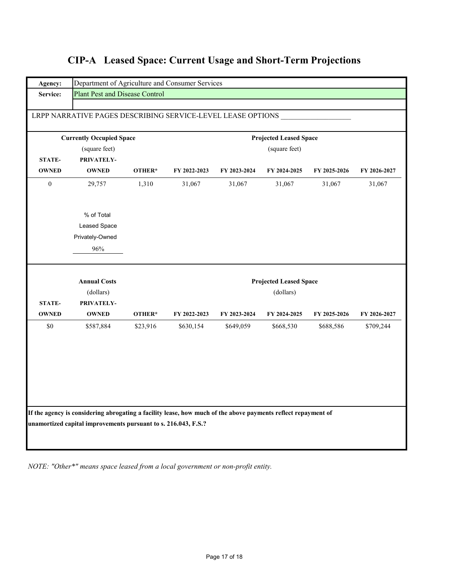|                               | LRPP NARRATIVE PAGES DESCRIBING SERVICE-LEVEL LEASE OPTIONS<br><b>Currently Occupied Space</b> |          |              |              | <b>Projected Leased Space</b> |              |              |
|-------------------------------|------------------------------------------------------------------------------------------------|----------|--------------|--------------|-------------------------------|--------------|--------------|
|                               | (square feet)                                                                                  |          |              |              | (square feet)                 |              |              |
| <b>STATE-</b>                 | PRIVATELY-                                                                                     |          |              |              |                               |              |              |
| <b>OWNED</b>                  | <b>OWNED</b>                                                                                   | OTHER*   | FY 2022-2023 | FY 2023-2024 | FY 2024-2025                  | FY 2025-2026 | FY 2026-2027 |
| $\boldsymbol{0}$              | 29,757                                                                                         | 1,310    | 31,067       | 31,067       | 31,067                        | 31,067       | 31,067       |
|                               | % of Total                                                                                     |          |              |              |                               |              |              |
|                               | Leased Space                                                                                   |          |              |              |                               |              |              |
|                               | Privately-Owned                                                                                |          |              |              |                               |              |              |
|                               | 96%                                                                                            |          |              |              |                               |              |              |
|                               | <b>Annual Costs</b>                                                                            |          |              |              | <b>Projected Leased Space</b> |              |              |
|                               | (dollars)                                                                                      |          |              |              | (dollars)                     |              |              |
| <b>STATE-</b><br><b>OWNED</b> | PRIVATELY-<br><b>OWNED</b>                                                                     | OTHER*   | FY 2022-2023 | FY 2023-2024 | FY 2024-2025                  | FY 2025-2026 | FY 2026-2027 |
| \$0                           | \$587,884                                                                                      | \$23,916 | \$630,154    | \$649,059    | \$668,530                     | \$688,586    | \$709,244    |
|                               |                                                                                                |          |              |              |                               |              |              |
|                               |                                                                                                |          |              |              |                               |              |              |
|                               |                                                                                                |          |              |              |                               |              |              |